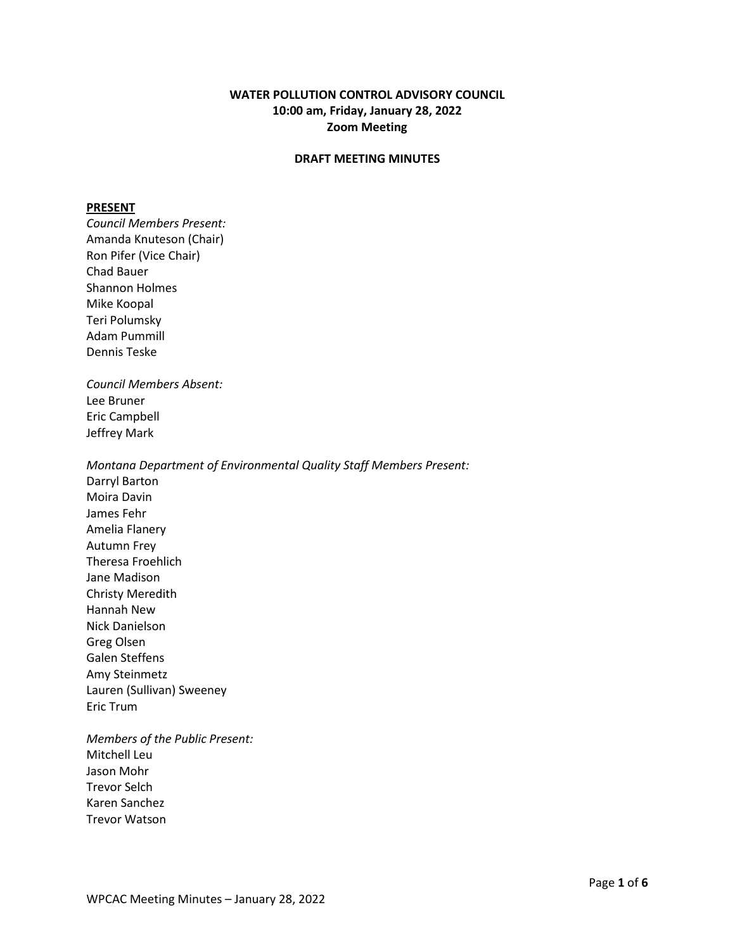# **WATER POLLUTION CONTROL ADVISORY COUNCIL 10:00 am, Friday, January 28, 2022 Zoom Meeting**

### **DRAFT MEETING MINUTES**

#### **PRESENT**

*Council Members Present:* Amanda Knuteson (Chair) Ron Pifer (Vice Chair) Chad Bauer Shannon Holmes Mike Koopal Teri Polumsky Adam Pummill Dennis Teske *Council Members Absent:* Lee Bruner Eric Campbell Jeffrey Mark *Montana Department of Environmental Quality Staff Members Present:* Darryl Barton Moira Davin James Fehr Amelia Flanery Autumn Frey Theresa Froehlich Jane Madison Christy Meredith Hannah New Nick Danielson Greg Olsen Galen Steffens Amy Steinmetz Lauren (Sullivan) Sweeney Eric Trum *Members of the Public Present:*

Mitchell Leu Jason Mohr Trevor Selch Karen Sanchez Trevor Watson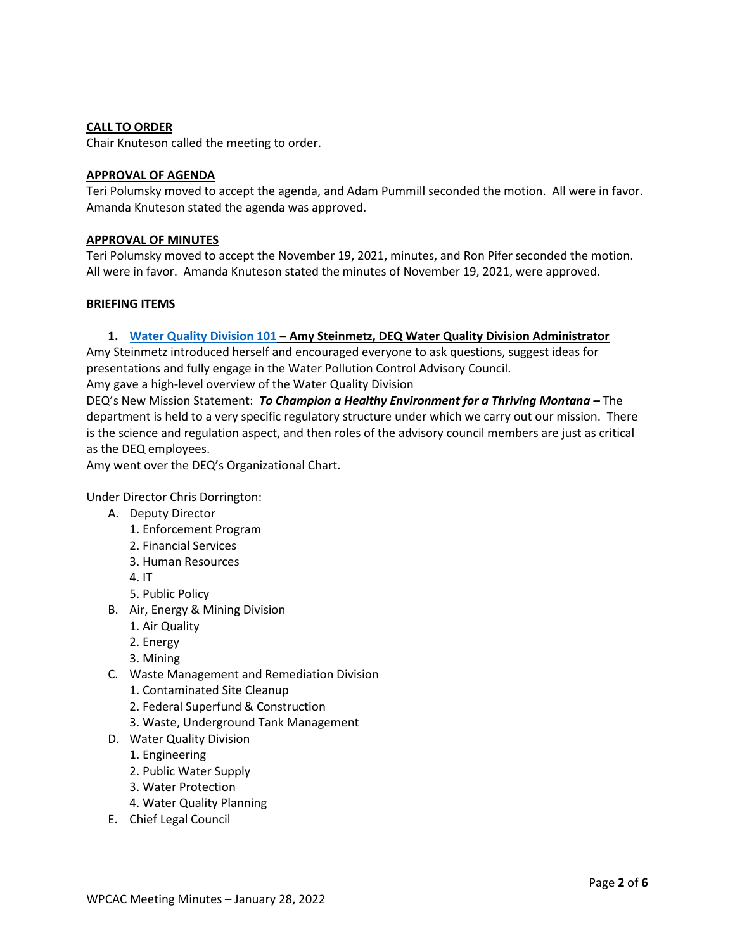# **CALL TO ORDER**

Chair Knuteson called the meeting to order.

### **APPROVAL OF AGENDA**

Teri Polumsky moved to accept the agenda, and Adam Pummill seconded the motion. All were in favor. Amanda Knuteson stated the agenda was approved.

# **APPROVAL OF MINUTES**

Teri Polumsky moved to accept the November 19, 2021, minutes, and Ron Pifer seconded the motion. All were in favor. Amanda Knuteson stated the minutes of November 19, 2021, were approved.

#### **BRIEFING ITEMS**

# **1. [Water Quality Division 101](https://deq.mt.gov/files/Water/WQInfo/Documents/WPCAC/January%2028%202022/WQD%20101.pdf) – Amy Steinmetz, DEQ Water Quality Division Administrator**

Amy Steinmetz introduced herself and encouraged everyone to ask questions, suggest ideas for presentations and fully engage in the Water Pollution Control Advisory Council. Amy gave a high-level overview of the Water Quality Division

DEQ's New Mission Statement: *To Champion a Healthy Environment for a Thriving Montana –* The department is held to a very specific regulatory structure under which we carry out our mission. There is the science and regulation aspect, and then roles of the advisory council members are just as critical as the DEQ employees.

Amy went over the DEQ's Organizational Chart.

Under Director Chris Dorrington:

- A. Deputy Director
	- 1. Enforcement Program
	- 2. Financial Services
	- 3. Human Resources
	- 4. IT
	- 5. Public Policy
- B. Air, Energy & Mining Division
	- 1. Air Quality
	- 2. Energy
	- 3. Mining
- C. Waste Management and Remediation Division
	- 1. Contaminated Site Cleanup
	- 2. Federal Superfund & Construction
	- 3. Waste, Underground Tank Management
- D. Water Quality Division
	- 1. Engineering
	- 2. Public Water Supply
	- 3. Water Protection
	- 4. Water Quality Planning
- E. Chief Legal Council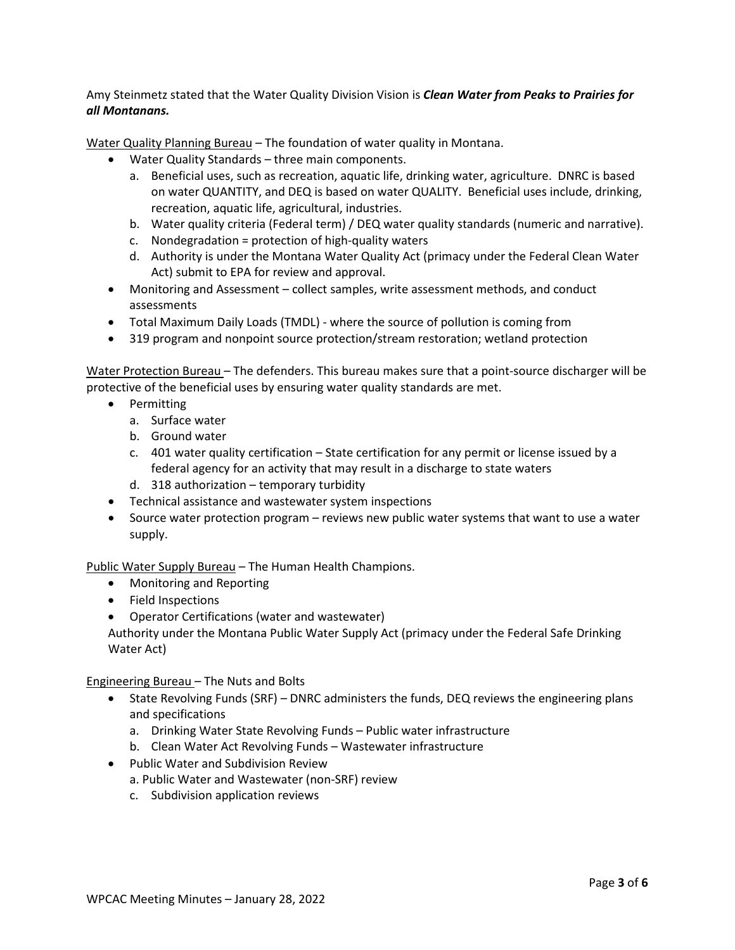Amy Steinmetz stated that the Water Quality Division Vision is *Clean Water from Peaks to Prairies for all Montanans.*

Water Quality Planning Bureau – The foundation of water quality in Montana.

- Water Quality Standards three main components.
	- a. Beneficial uses, such as recreation, aquatic life, drinking water, agriculture. DNRC is based on water QUANTITY, and DEQ is based on water QUALITY. Beneficial uses include, drinking, recreation, aquatic life, agricultural, industries.
	- b. Water quality criteria (Federal term) / DEQ water quality standards (numeric and narrative).
	- c. Nondegradation = protection of high-quality waters
	- d. Authority is under the Montana Water Quality Act (primacy under the Federal Clean Water Act) submit to EPA for review and approval.
- Monitoring and Assessment collect samples, write assessment methods, and conduct assessments
- Total Maximum Daily Loads (TMDL) where the source of pollution is coming from
- 319 program and nonpoint source protection/stream restoration; wetland protection

Water Protection Bureau – The defenders. This bureau makes sure that a point-source discharger will be protective of the beneficial uses by ensuring water quality standards are met.

- Permitting
	- a. Surface water
	- b. Ground water
	- c. 401 water quality certification State certification for any permit or license issued by a federal agency for an activity that may result in a discharge to state waters
	- d. 318 authorization temporary turbidity
- Technical assistance and wastewater system inspections
- Source water protection program reviews new public water systems that want to use a water supply.

Public Water Supply Bureau – The Human Health Champions.

- Monitoring and Reporting
- Field Inspections
- Operator Certifications (water and wastewater)

Authority under the Montana Public Water Supply Act (primacy under the Federal Safe Drinking Water Act)

Engineering Bureau – The Nuts and Bolts

- State Revolving Funds (SRF) DNRC administers the funds, DEQ reviews the engineering plans and specifications
	- a. Drinking Water State Revolving Funds Public water infrastructure
	- b. Clean Water Act Revolving Funds Wastewater infrastructure
- Public Water and Subdivision Review
	- a. Public Water and Wastewater (non-SRF) review
	- c. Subdivision application reviews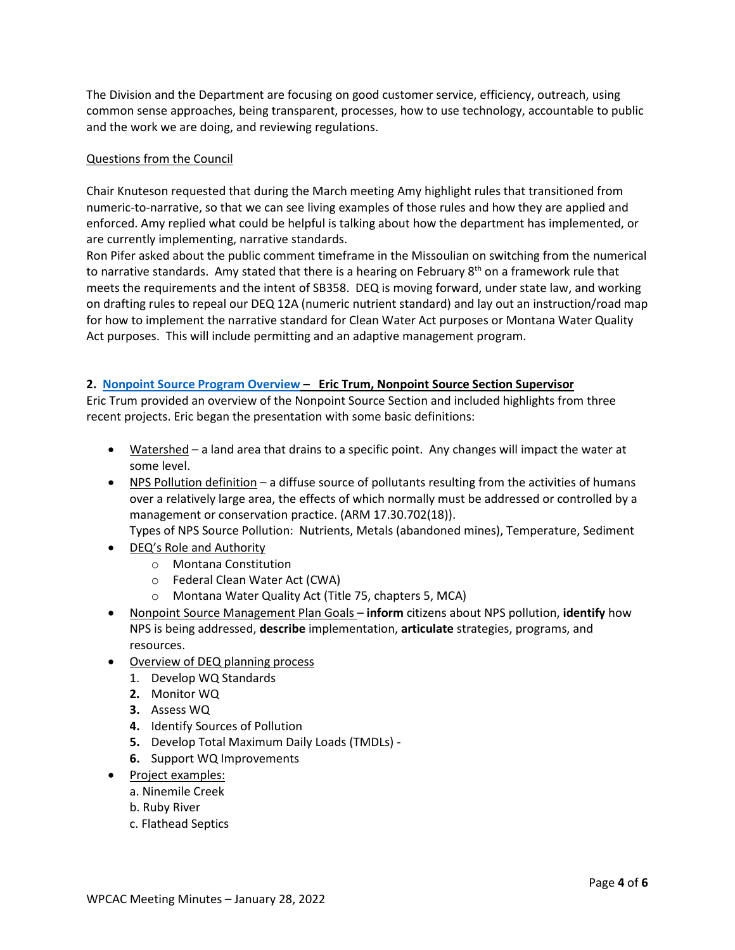The Division and the Department are focusing on good customer service, efficiency, outreach, using common sense approaches, being transparent, processes, how to use technology, accountable to public and the work we are doing, and reviewing regulations.

# Questions from the Council

Chair Knuteson requested that during the March meeting Amy highlight rules that transitioned from numeric-to-narrative, so that we can see living examples of those rules and how they are applied and enforced. Amy replied what could be helpful is talking about how the department has implemented, or are currently implementing, narrative standards.

Ron Pifer asked about the public comment timeframe in the Missoulian on switching from the numerical to narrative standards. Amy stated that there is a hearing on February  $8<sup>th</sup>$  on a framework rule that meets the requirements and the intent of SB358. DEQ is moving forward, under state law, and working on drafting rules to repeal our DEQ 12A (numeric nutrient standard) and lay out an instruction/road map for how to implement the narrative standard for Clean Water Act purposes or Montana Water Quality Act purposes. This will include permitting and an adaptive management program.

# **2. [Nonpoint Source Program Overview](https://deq.mt.gov/files/Water/WQInfo/Documents/WPCAC/January%2028%202022/WPCAC_NPS_1.pdf) – Eric Trum, Nonpoint Source Section Supervisor**

Eric Trum provided an overview of the Nonpoint Source Section and included highlights from three recent projects. Eric began the presentation with some basic definitions:

- Watershed a land area that drains to a specific point. Any changes will impact the water at some level.
- NPS Pollution definition a diffuse source of pollutants resulting from the activities of humans over a relatively large area, the effects of which normally must be addressed or controlled by a management or conservation practice. (ARM 17.30.702(18)).

Types of NPS Source Pollution: Nutrients, Metals (abandoned mines), Temperature, Sediment

- DEQ's Role and Authority
	- o Montana Constitution
	- o Federal Clean Water Act (CWA)
	- o Montana Water Quality Act (Title 75, chapters 5, MCA)
- Nonpoint Source Management Plan Goals **inform** citizens about NPS pollution, **identify** how NPS is being addressed, **describe** implementation, **articulate** strategies, programs, and resources.
- Overview of DEQ planning process
	- 1. Develop WQ Standards
	- **2.** Monitor WQ
	- **3.** Assess WQ
	- **4.** Identify Sources of Pollution
	- **5.** Develop Total Maximum Daily Loads (TMDLs) -
	- **6.** Support WQ Improvements
- Project examples:
	- a. Ninemile Creek
	- b. Ruby River
	- c. Flathead Septics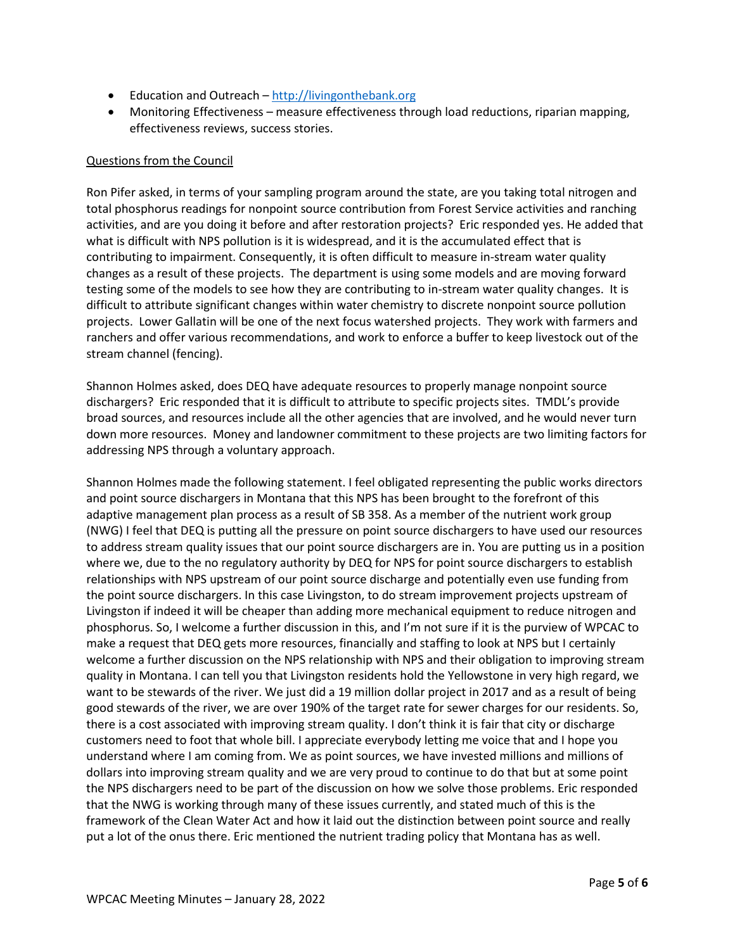- Education and Outreach [http://livingonthebank.org](http://livingonthebank.org/)
- Monitoring Effectiveness measure effectiveness through load reductions, riparian mapping, effectiveness reviews, success stories.

# Questions from the Council

Ron Pifer asked, in terms of your sampling program around the state, are you taking total nitrogen and total phosphorus readings for nonpoint source contribution from Forest Service activities and ranching activities, and are you doing it before and after restoration projects? Eric responded yes. He added that what is difficult with NPS pollution is it is widespread, and it is the accumulated effect that is contributing to impairment. Consequently, it is often difficult to measure in-stream water quality changes as a result of these projects. The department is using some models and are moving forward testing some of the models to see how they are contributing to in-stream water quality changes. It is difficult to attribute significant changes within water chemistry to discrete nonpoint source pollution projects. Lower Gallatin will be one of the next focus watershed projects. They work with farmers and ranchers and offer various recommendations, and work to enforce a buffer to keep livestock out of the stream channel (fencing).

Shannon Holmes asked, does DEQ have adequate resources to properly manage nonpoint source dischargers? Eric responded that it is difficult to attribute to specific projects sites. TMDL's provide broad sources, and resources include all the other agencies that are involved, and he would never turn down more resources. Money and landowner commitment to these projects are two limiting factors for addressing NPS through a voluntary approach.

Shannon Holmes made the following statement. I feel obligated representing the public works directors and point source dischargers in Montana that this NPS has been brought to the forefront of this adaptive management plan process as a result of SB 358. As a member of the nutrient work group (NWG) I feel that DEQ is putting all the pressure on point source dischargers to have used our resources to address stream quality issues that our point source dischargers are in. You are putting us in a position where we, due to the no regulatory authority by DEQ for NPS for point source dischargers to establish relationships with NPS upstream of our point source discharge and potentially even use funding from the point source dischargers. In this case Livingston, to do stream improvement projects upstream of Livingston if indeed it will be cheaper than adding more mechanical equipment to reduce nitrogen and phosphorus. So, I welcome a further discussion in this, and I'm not sure if it is the purview of WPCAC to make a request that DEQ gets more resources, financially and staffing to look at NPS but I certainly welcome a further discussion on the NPS relationship with NPS and their obligation to improving stream quality in Montana. I can tell you that Livingston residents hold the Yellowstone in very high regard, we want to be stewards of the river. We just did a 19 million dollar project in 2017 and as a result of being good stewards of the river, we are over 190% of the target rate for sewer charges for our residents. So, there is a cost associated with improving stream quality. I don't think it is fair that city or discharge customers need to foot that whole bill. I appreciate everybody letting me voice that and I hope you understand where I am coming from. We as point sources, we have invested millions and millions of dollars into improving stream quality and we are very proud to continue to do that but at some point the NPS dischargers need to be part of the discussion on how we solve those problems. Eric responded that the NWG is working through many of these issues currently, and stated much of this is the framework of the Clean Water Act and how it laid out the distinction between point source and really put a lot of the onus there. Eric mentioned the nutrient trading policy that Montana has as well.